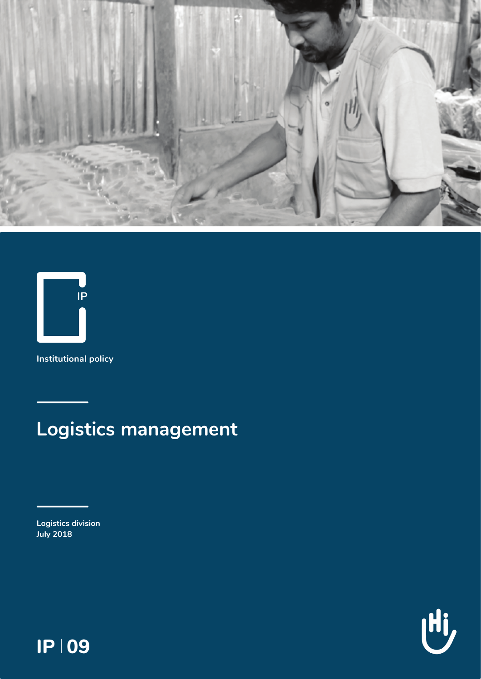



Institutional policy

# **Logistics management**

**Logistics division July 2018** 

Ui,

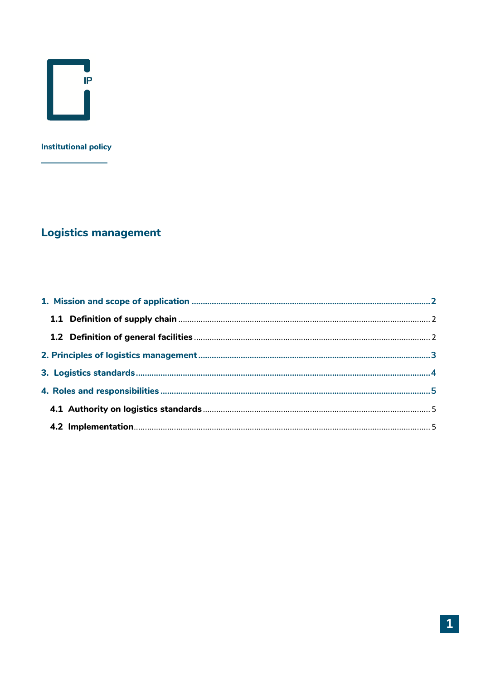

#### **Institutional policy**

# **Logistics management**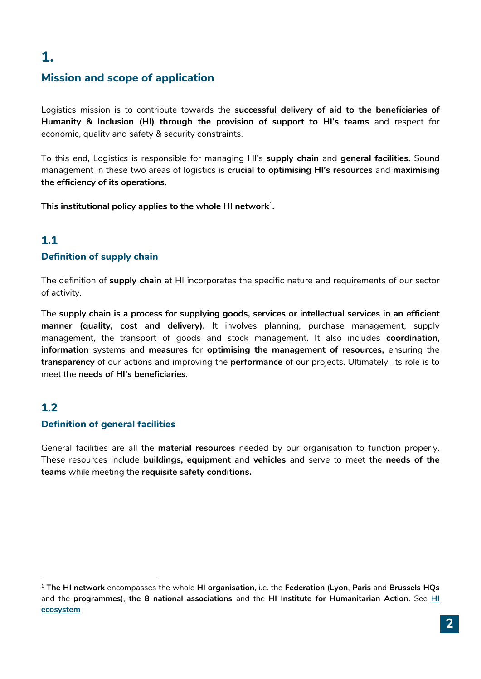# <span id="page-2-0"></span>**1.**

## **Mission and scope of application**

Logistics mission is to contribute towards the **successful delivery of aid to the beneficiaries of Humanity & Inclusion (HI) through the provision of support to HI's teams** and respect for economic, quality and safety & security constraints.

To this end, Logistics is responsible for managing HI's **supply chain** and **general facilities.** Sound management in these two areas of logistics is **crucial to optimising HI's resources** and **maximising the efficiency of its operations.** 

**This institutional policy applies to the whole HI network**<sup>1</sup> **.**

### **1.1**

#### <span id="page-2-1"></span>**Definition of supply chain**

The definition of **supply chain** at HI incorporates the specific nature and requirements of our sector of activity.

The **supply chain is a process for supplying goods, services or intellectual services in an efficient manner (quality, cost and delivery).** It involves planning, purchase management, supply management, the transport of goods and stock management. It also includes **coordination**, **information** systems and **measures** for **optimising the management of resources,** ensuring the **transparency** of our actions and improving the **performance** of our projects. Ultimately, its role is to meet the **needs of HI's beneficiaries**.

### **1.2**

1

#### <span id="page-2-2"></span>**Definition of general facilities**

General facilities are all the **material resources** needed by our organisation to function properly. These resources include **buildings, equipment** and **vehicles** and serve to meet the **needs of the teams** while meeting the **requisite safety conditions.**

<span id="page-2-3"></span><sup>1</sup> **The HI network** encompasses the whole **HI organisation**, i.e. the **Federation** (**Lyon**, **Paris** and **Brussels HQs** and the **programmes**), **the 8 national associations** and the **HI Institute for Humanitarian Action**. See **[HI](https://hinside.hi.org/intranet/jcms/prod_2216534/fr/one-team-une-nouvelle-terminologie-pour-designer-les-differentes-composantes-de-l-ecosysteme-hi)  [ecosystem](https://hinside.hi.org/intranet/jcms/prod_2216534/fr/one-team-une-nouvelle-terminologie-pour-designer-les-differentes-composantes-de-l-ecosysteme-hi)**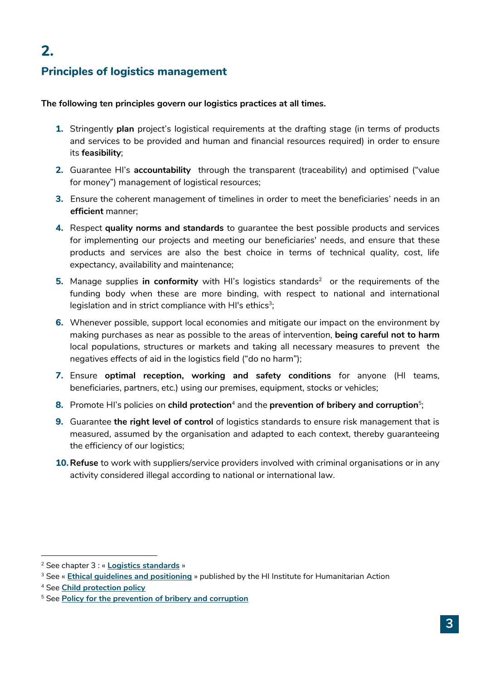# <span id="page-3-0"></span>**2.**

## **Principles of logistics management**

**The following ten principles govern our logistics practices at all times.**

- **1.** Stringently **plan** project's logistical requirements at the drafting stage (in terms of products and services to be provided and human and financial resources required) in order to ensure its **feasibility**;
- **2.** Guarantee HI's **accountability** through the transparent (traceability) and optimised ("value for money") management of logistical resources;
- **3.** Ensure the coherent management of timelines in order to meet the beneficiaries' needs in an **efficient** manner;
- **4.** Respect **quality norms and standards** to guarantee the best possible products and services for implementing our projects and meeting our beneficiaries' needs, and ensure that these products and services are also the best choice in terms of technical quality, cost, life expectancy, availability and maintenance;
- **5.** Manage supplies in conformity with HI's logistics standards<sup>2</sup> or the requirements of the funding body when these are more binding, with respect to national and international legislation and in strict compliance with HI's ethics $^3;$
- **6.** Whenever possible, support local economies and mitigate our impact on the environment by making purchases as near as possible to the areas of intervention, **being careful not to harm** local populations, structures or markets and taking all necessary measures to prevent the negatives effects of aid in the logistics field ("do no harm");
- **7.** Ensure **optimal reception, working and safety conditions** for anyone (HI teams, beneficiaries, partners, etc.) using our premises, equipment, stocks or vehicles;
- **8.** Promote HI's policies on child protection<sup>4</sup> and the prevention of bribery and corruption<sup>5</sup>;
- **9.** Guarantee **the right level of control** of logistics standards to ensure risk management that is measured, assumed by the organisation and adapted to each context, thereby guaranteeing the efficiency of our logistics;
- **10.Refuse** to work with suppliers/service providers involved with criminal organisations or in any activity considered illegal according to national or international law.

1

<sup>2</sup> See chapter 3 : « **Logistics standards** »

<sup>3</sup> See « **[Ethical guidelines and positioning](https://hinside.hi.org/intranet/jcms/prod_2006712/fr/institut-hi-pour-l-action-humanitaire?portlet=prod_2080563)** » published by the HI Institute for Humanitarian Action

<sup>4</sup> See **[Child protection policy](https://hinside.hi.org/intranet/jcms/prod_2122100/fr/1-protection-de-l-enfance)** 

<sup>5</sup> See **[Policy for the prevention of bribery and corruption](https://hinside.hi.org/intranet/jcms/prod_2113477/fr/1-politique-et-principes)**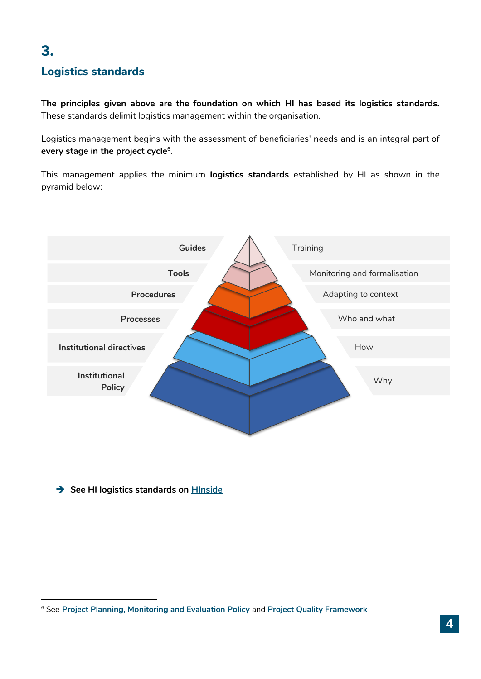# <span id="page-4-0"></span>**3.**

**.** 

## **Logistics standards**

**The principles given above are the foundation on which HI has based its logistics standards.** These standards delimit logistics management within the organisation.

Logistics management begins with the assessment of beneficiaries' needs and is an integral part of **every stage in the project cycle**<sup>6</sup> .

This management applies the minimum **logistics standards** established by HI as shown in the pyramid below:



 $\rightarrow$  **See HI logistics standards on HInside** 

<sup>6</sup> See **[Project Planning, Monitoring and Evaluation Policy](https://hinside.hi.org/intranet/jcms/prod_2119055/fr/tout-sur-la-politique-pse)** and **[Project Quality Framework](https://hinside.hi.org/intranet/jcms/prod_2131544/fr/le-referentiel-qualite-projet)**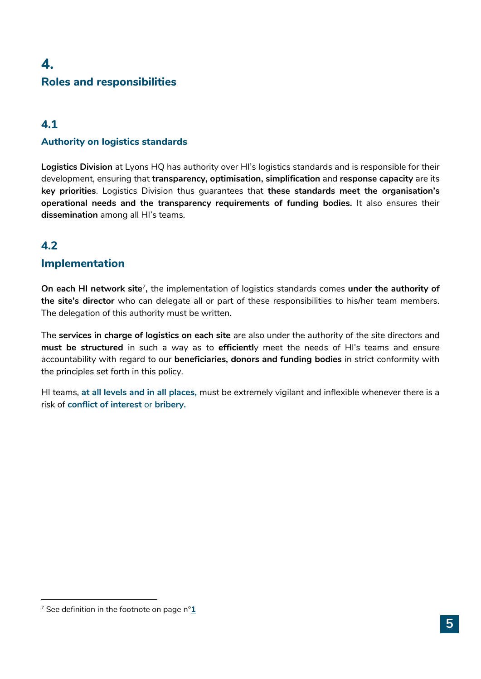# <span id="page-5-0"></span>**4. Roles and responsibilities**

## <span id="page-5-1"></span>**4.1**

#### **Authority on logistics standards**

**Logistics Division** at Lyons HQ has authority over HI's logistics standards and is responsible for their development, ensuring that **transparency, optimisation, simplification** and **response capacity** are its **key priorities**. Logistics Division thus guarantees that **these standards meet the organisation's operational needs and the transparency requirements of funding bodies.** It also ensures their **dissemination** among all HI's teams.

# <span id="page-5-2"></span>**4.2**

**.** 

## **Implementation**

On each HI network site<sup>7</sup>, the implementation of logistics standards comes under the authority of **the site's director** who can delegate all or part of these responsibilities to his/her team members. The delegation of this authority must be written.

The **services in charge of logistics on each site** are also under the authority of the site directors and **must be structured** in such a way as to **efficientl**y meet the needs of HI's teams and ensure accountability with regard to our **beneficiaries, donors and funding bodies** in strict conformity with the principles set forth in this policy.

HI teams, **at all levels and in all places,** must be extremely vigilant and inflexible whenever there is a risk of **conflict of interest** or **bribery.**

<sup>7</sup> See definition in the footnote on page n°**[1](#page-2-3)**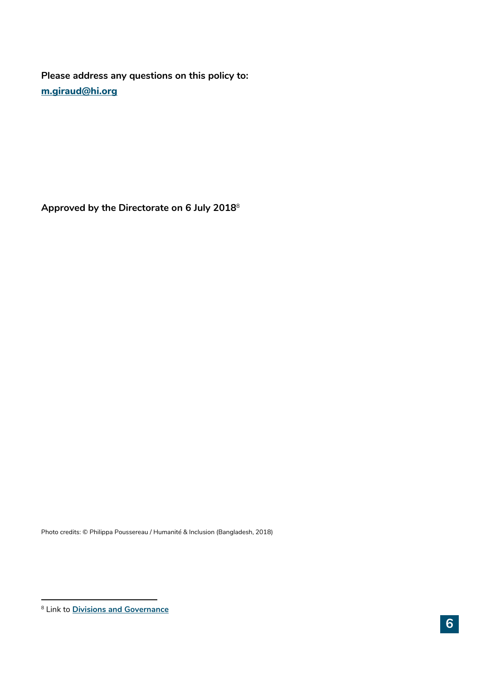**Please address any questions on this policy to: [m.giraud@hi.org](mailto:m.giraud@hi.org)**

**Approved by the Directorate on 6 July 2018**<sup>8</sup>

Photo credits: © Philippa Poussereau / Humanité & Inclusion (Bangladesh, 2018)

**.** 

<sup>8</sup> Link to **[Divisions and Governance](https://hinside.hi.org/intranet/jcms/prod_2134040/fr/directions-et-gouvernance-juin2017)**